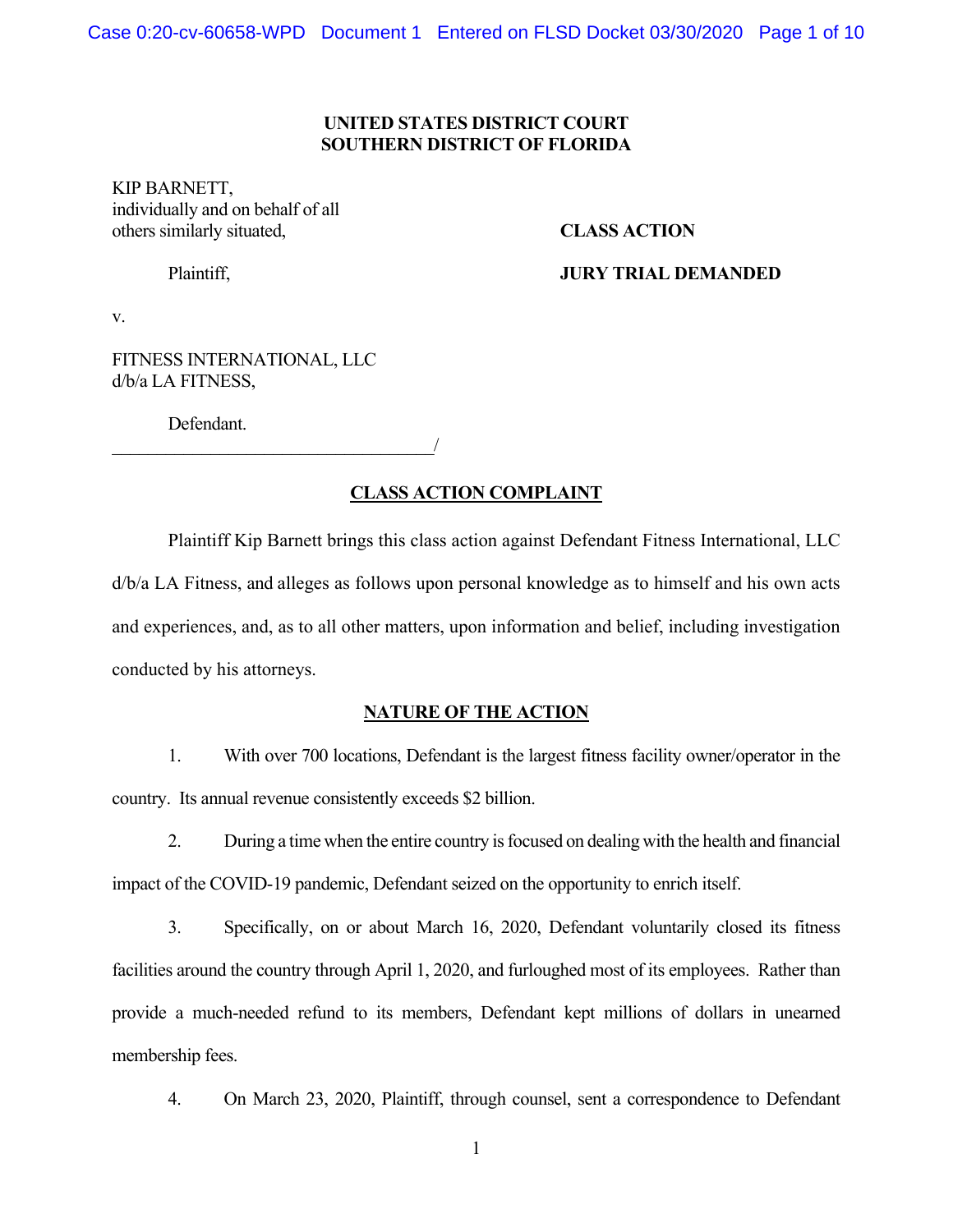#### **UNITED STATES DISTRICT COURT SOUTHERN DISTRICT OF FLORIDA**

KIP BARNETT, individually and on behalf of all others similarly situated, **CLASS ACTION** 

# Plaintiff, **JURY TRIAL DEMANDED**

v.

FITNESS INTERNATIONAL, LLC d/b/a LA FITNESS,

 $\overline{\phantom{a}}$ 

Defendant.

# **CLASS ACTION COMPLAINT**

Plaintiff Kip Barnett brings this class action against Defendant Fitness International, LLC d/b/a LA Fitness, and alleges as follows upon personal knowledge as to himself and his own acts and experiences, and, as to all other matters, upon information and belief, including investigation conducted by his attorneys.

## **NATURE OF THE ACTION**

1. With over 700 locations, Defendant is the largest fitness facility owner/operator in the country. Its annual revenue consistently exceeds \$2 billion.

2. During a time when the entire country is focused on dealing with the health and financial impact of the COVID-19 pandemic, Defendant seized on the opportunity to enrich itself.

3. Specifically, on or about March 16, 2020, Defendant voluntarily closed its fitness facilities around the country through April 1, 2020, and furloughed most of its employees. Rather than provide a much-needed refund to its members, Defendant kept millions of dollars in unearned membership fees.

4. On March 23, 2020, Plaintiff, through counsel, sent a correspondence to Defendant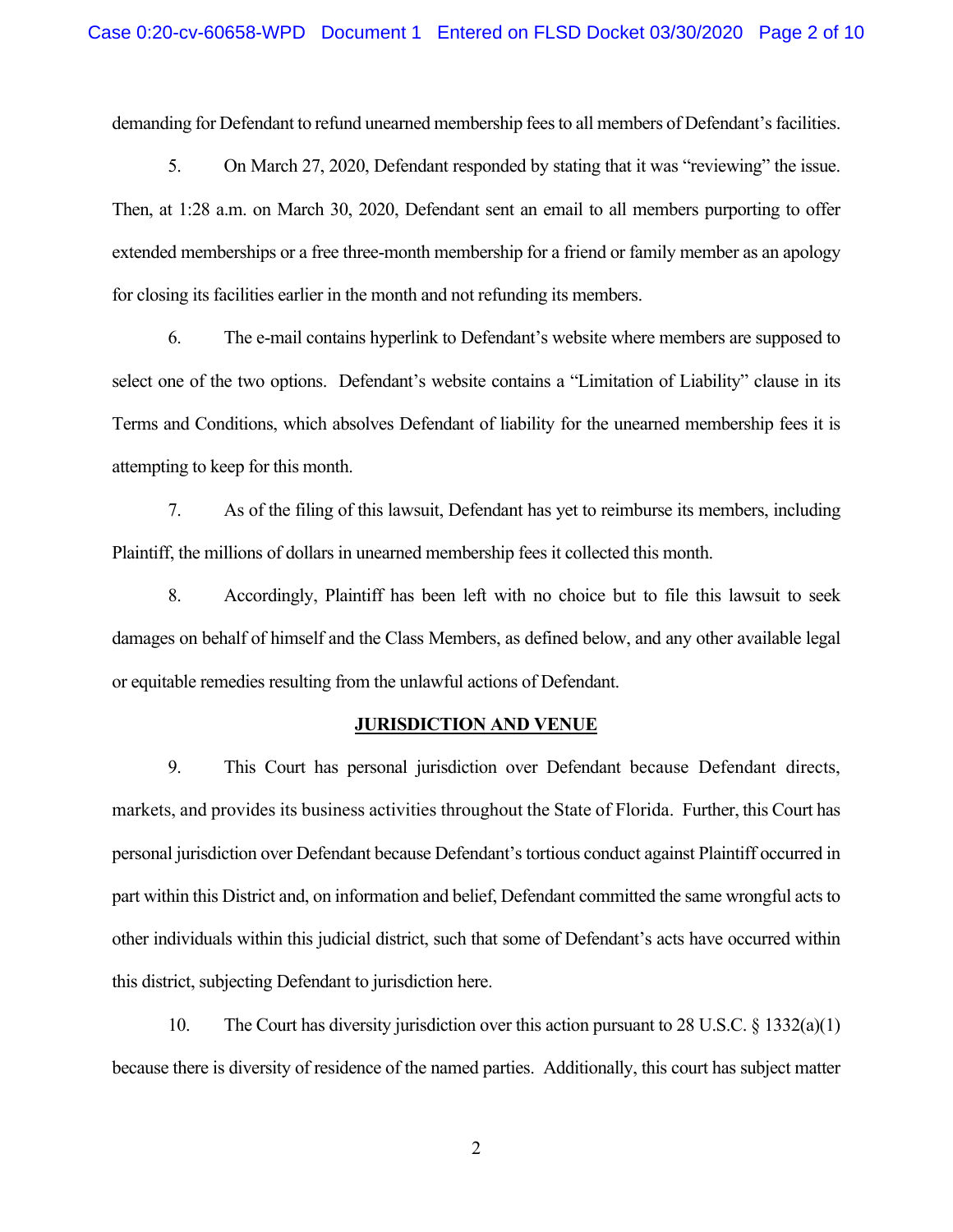demanding for Defendant to refund unearned membership fees to all members of Defendant's facilities.

5. On March 27, 2020, Defendant responded by stating that it was "reviewing" the issue. Then, at 1:28 a.m. on March 30, 2020, Defendant sent an email to all members purporting to offer extended memberships or a free three-month membership for a friend or family member as an apology for closing its facilities earlier in the month and not refunding its members.

6. The e-mail contains hyperlink to Defendant's website where members are supposed to select one of the two options. Defendant's website contains a "Limitation of Liability" clause in its Terms and Conditions, which absolves Defendant of liability for the unearned membership fees it is attempting to keep for this month.

7. As of the filing of this lawsuit, Defendant has yet to reimburse its members, including Plaintiff, the millions of dollars in unearned membership fees it collected this month.

8. Accordingly, Plaintiff has been left with no choice but to file this lawsuit to seek damages on behalf of himself and the Class Members, as defined below, and any other available legal or equitable remedies resulting from the unlawful actions of Defendant.

#### **JURISDICTION AND VENUE**

9. This Court has personal jurisdiction over Defendant because Defendant directs, markets, and provides its business activities throughout the State of Florida. Further, this Court has personal jurisdiction over Defendant because Defendant's tortious conduct against Plaintiff occurred in part within this District and, on information and belief, Defendant committed the same wrongful acts to other individuals within this judicial district, such that some of Defendant's acts have occurred within this district, subjecting Defendant to jurisdiction here.

10. The Court has diversity jurisdiction over this action pursuant to 28 U.S.C. § 1332(a)(1) because there is diversity of residence of the named parties. Additionally, this court has subject matter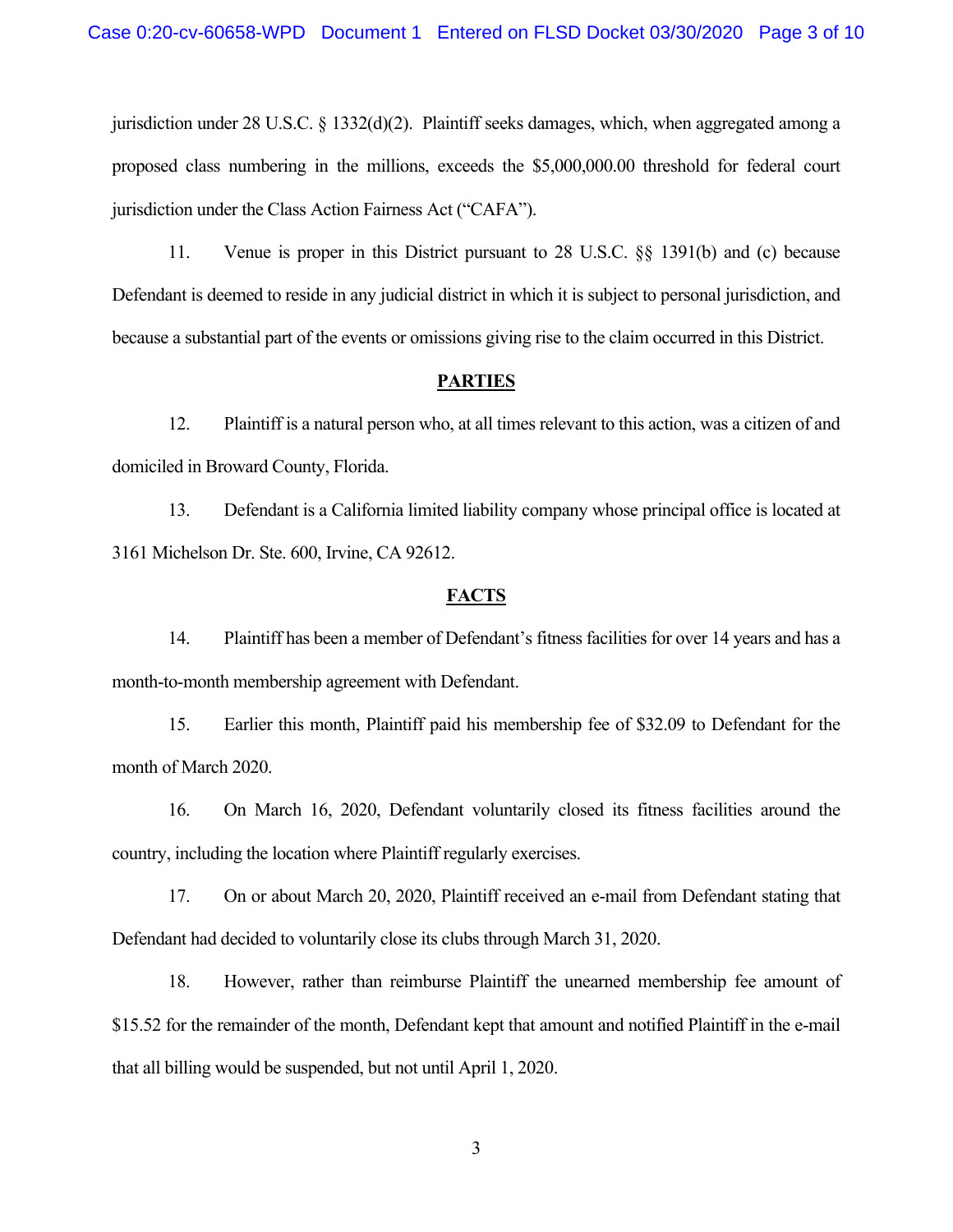jurisdiction under 28 U.S.C. § 1332(d)(2). Plaintiff seeks damages, which, when aggregated among a proposed class numbering in the millions, exceeds the \$5,000,000.00 threshold for federal court jurisdiction under the Class Action Fairness Act ("CAFA").

11. Venue is proper in this District pursuant to 28 U.S.C. §§ 1391(b) and (c) because Defendant is deemed to reside in any judicial district in which it is subject to personal jurisdiction, and because a substantial part of the events or omissions giving rise to the claim occurred in this District.

#### **PARTIES**

12. Plaintiff is a natural person who, at all times relevant to this action, was a citizen of and domiciled in Broward County, Florida.

13. Defendant is a California limited liability company whose principal office is located at 3161 Michelson Dr. Ste. 600, Irvine, CA 92612.

#### **FACTS**

14. Plaintiff has been a member of Defendant's fitness facilities for over 14 years and has a month-to-month membership agreement with Defendant.

15. Earlier this month, Plaintiff paid his membership fee of \$32.09 to Defendant for the month of March 2020.

16. On March 16, 2020, Defendant voluntarily closed its fitness facilities around the country, including the location where Plaintiff regularly exercises.

17. On or about March 20, 2020, Plaintiff received an e-mail from Defendant stating that Defendant had decided to voluntarily close its clubs through March 31, 2020.

18. However, rather than reimburse Plaintiff the unearned membership fee amount of \$15.52 for the remainder of the month, Defendant kept that amount and notified Plaintiff in the e-mail that all billing would be suspended, but not until April 1, 2020.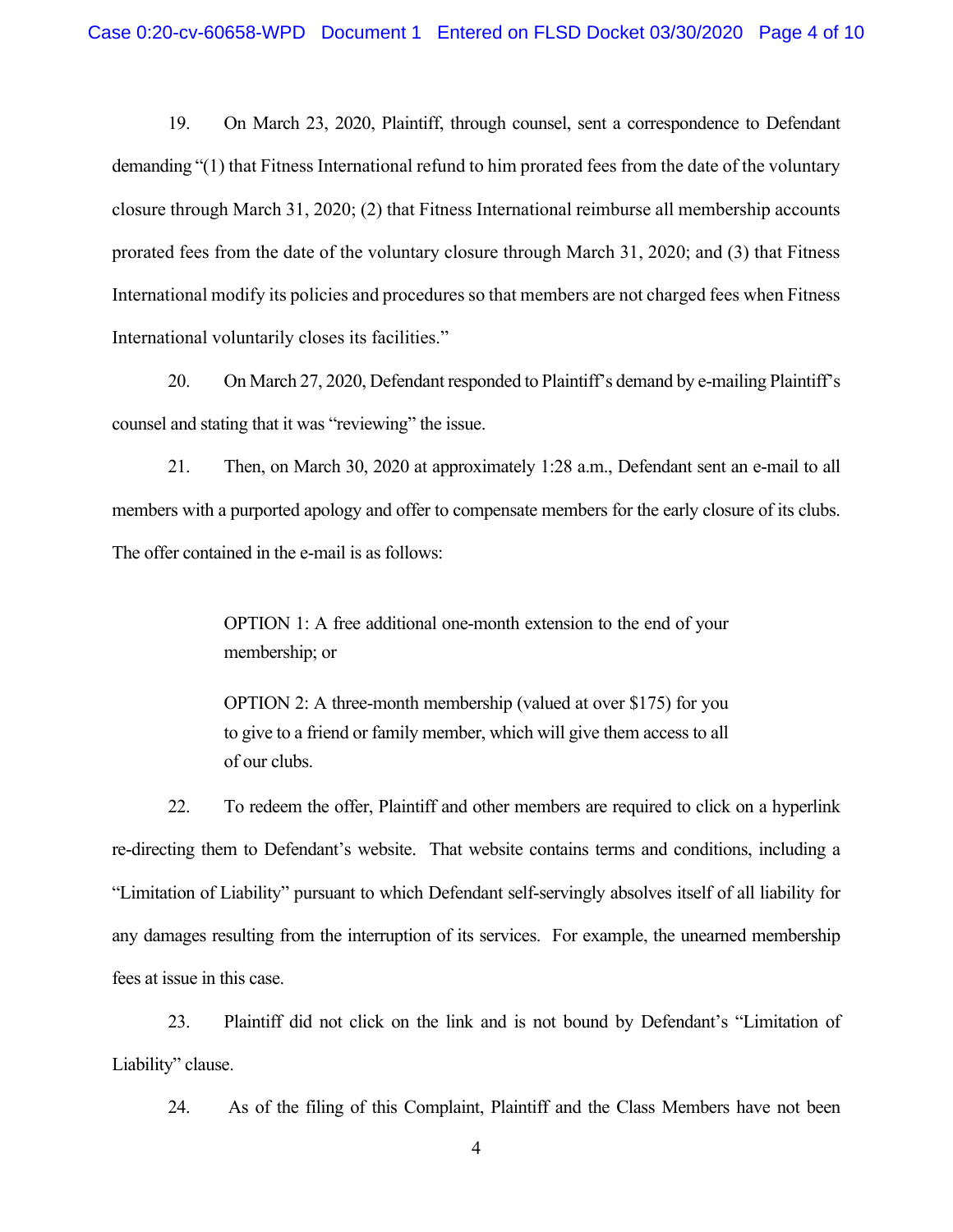19. On March 23, 2020, Plaintiff, through counsel, sent a correspondence to Defendant demanding "(1) that Fitness International refund to him prorated fees from the date of the voluntary closure through March 31, 2020; (2) that Fitness International reimburse all membership accounts prorated fees from the date of the voluntary closure through March 31, 2020; and (3) that Fitness International modify its policies and procedures so that members are not charged fees when Fitness International voluntarily closes its facilities."

20. On March 27, 2020, Defendant responded to Plaintiff's demand by e-mailing Plaintiff's counsel and stating that it was "reviewing" the issue.

21. Then, on March 30, 2020 at approximately 1:28 a.m., Defendant sent an e-mail to all members with a purported apology and offer to compensate members for the early closure of its clubs. The offer contained in the e-mail is as follows:

> OPTION 1: A free additional one-month extension to the end of your membership; or

> OPTION 2: A three-month membership (valued at over \$175) for you to give to a friend or family member, which will give them access to all of our clubs.

22. To redeem the offer, Plaintiff and other members are required to click on a hyperlink re-directing them to Defendant's website. That website contains terms and conditions, including a "Limitation of Liability" pursuant to which Defendant self-servingly absolves itself of all liability for any damages resulting from the interruption of its services. For example, the unearned membership fees at issue in this case.

23. Plaintiff did not click on the link and is not bound by Defendant's "Limitation of Liability" clause.

24. As of the filing of this Complaint, Plaintiff and the Class Members have not been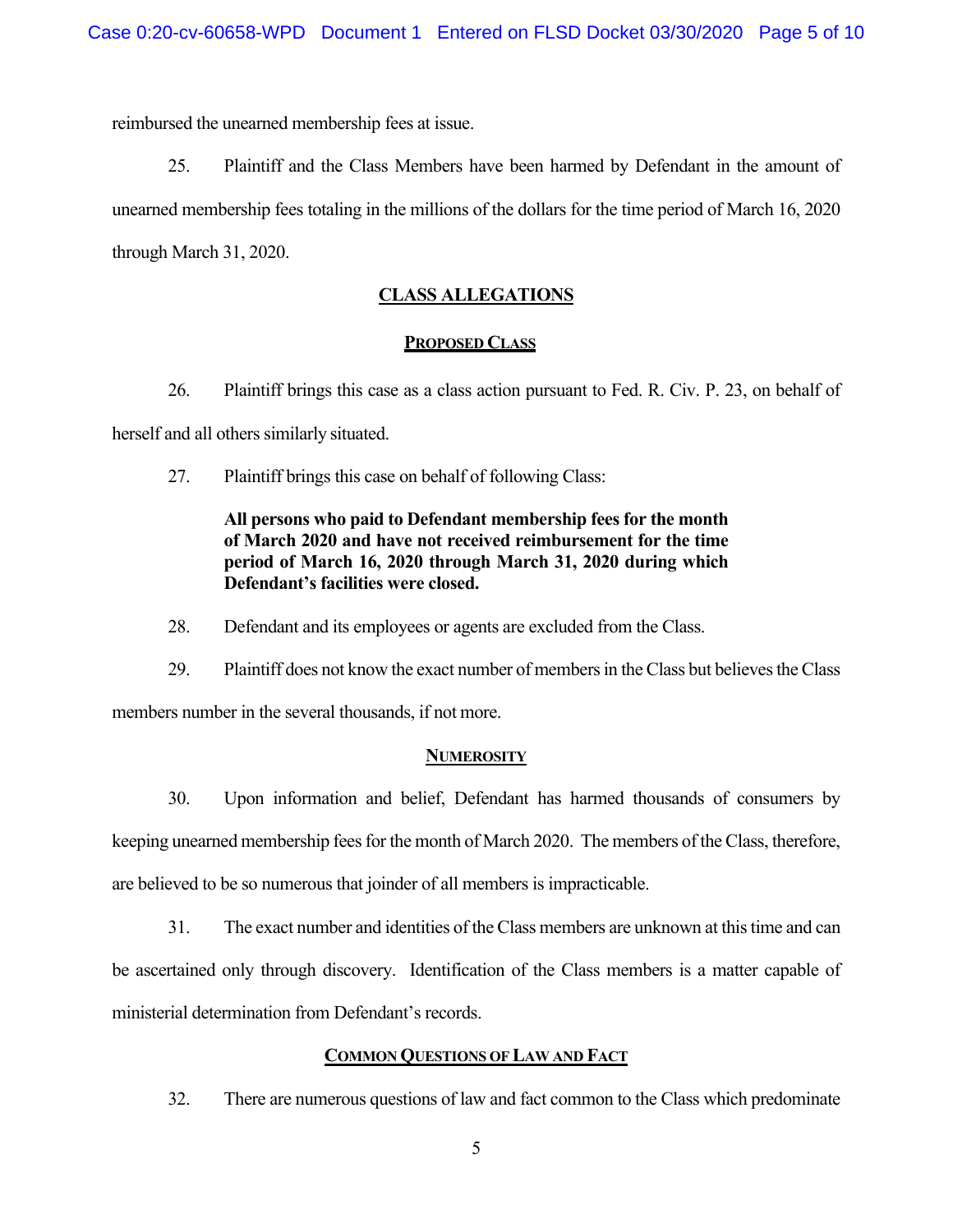reimbursed the unearned membership fees at issue.

25. Plaintiff and the Class Members have been harmed by Defendant in the amount of unearned membership fees totaling in the millions of the dollars for the time period of March 16, 2020 through March 31, 2020.

# **CLASS ALLEGATIONS**

## **PROPOSED CLASS**

26. Plaintiff brings this case as a class action pursuant to Fed. R. Civ. P. 23, on behalf of herself and all others similarly situated.

27. Plaintiff brings this case on behalf of following Class:

# **All persons who paid to Defendant membership fees for the month of March 2020 and have not received reimbursement for the time period of March 16, 2020 through March 31, 2020 during which Defendant's facilities were closed.**

28. Defendant and its employees or agents are excluded from the Class.

29. Plaintiff does not know the exact number of members in the Class but believes the Class members number in the several thousands, if not more.

## **NUMEROSITY**

30. Upon information and belief, Defendant has harmed thousands of consumers by keeping unearned membership fees for the month of March 2020. The members of the Class, therefore, are believed to be so numerous that joinder of all members is impracticable.

31. The exact number and identities of the Class members are unknown at this time and can be ascertained only through discovery. Identification of the Class members is a matter capable of ministerial determination from Defendant's records.

## **COMMON QUESTIONS OF LAW AND FACT**

32. There are numerous questions of law and fact common to the Class which predominate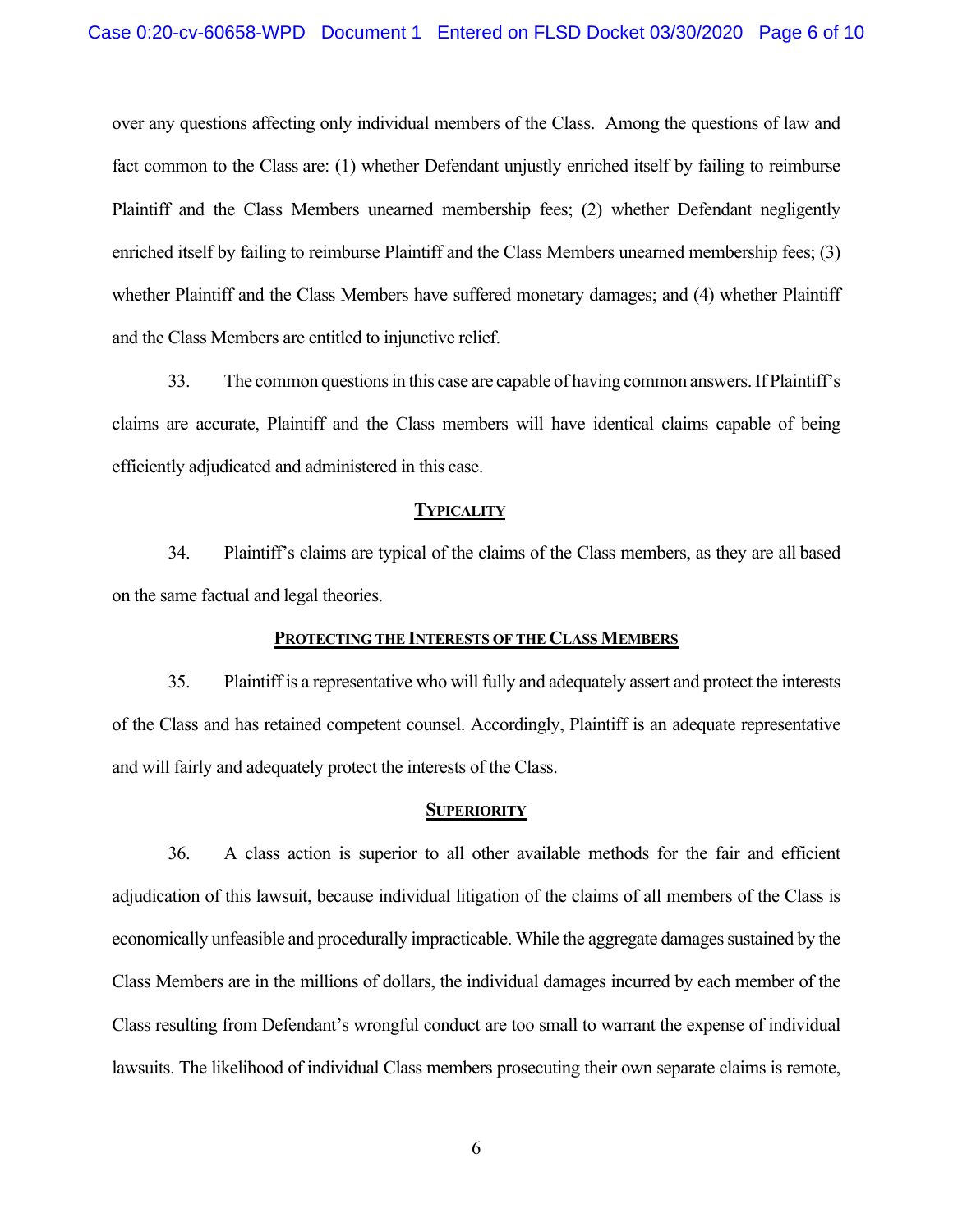over any questions affecting only individual members of the Class. Among the questions of law and fact common to the Class are: (1) whether Defendant unjustly enriched itself by failing to reimburse Plaintiff and the Class Members unearned membership fees; (2) whether Defendant negligently enriched itself by failing to reimburse Plaintiff and the Class Members unearned membership fees; (3) whether Plaintiff and the Class Members have suffered monetary damages; and (4) whether Plaintiff and the Class Members are entitled to injunctive relief.

33. The common questions in this case are capable of having common answers. If Plaintiff's claims are accurate, Plaintiff and the Class members will have identical claims capable of being efficiently adjudicated and administered in this case.

#### **TYPICALITY**

34. Plaintiff's claims are typical of the claims of the Class members, as they are all based on the same factual and legal theories.

#### **PROTECTING THE INTERESTS OF THE CLASS MEMBERS**

35. Plaintiff is a representative who will fully and adequately assert and protect the interests of the Class and has retained competent counsel. Accordingly, Plaintiff is an adequate representative and will fairly and adequately protect the interests of the Class.

#### **SUPERIORITY**

36. A class action is superior to all other available methods for the fair and efficient adjudication of this lawsuit, because individual litigation of the claims of all members of the Class is economically unfeasible and procedurally impracticable. While the aggregate damages sustained by the Class Members are in the millions of dollars, the individual damages incurred by each member of the Class resulting from Defendant's wrongful conduct are too small to warrant the expense of individual lawsuits. The likelihood of individual Class members prosecuting their own separate claims is remote,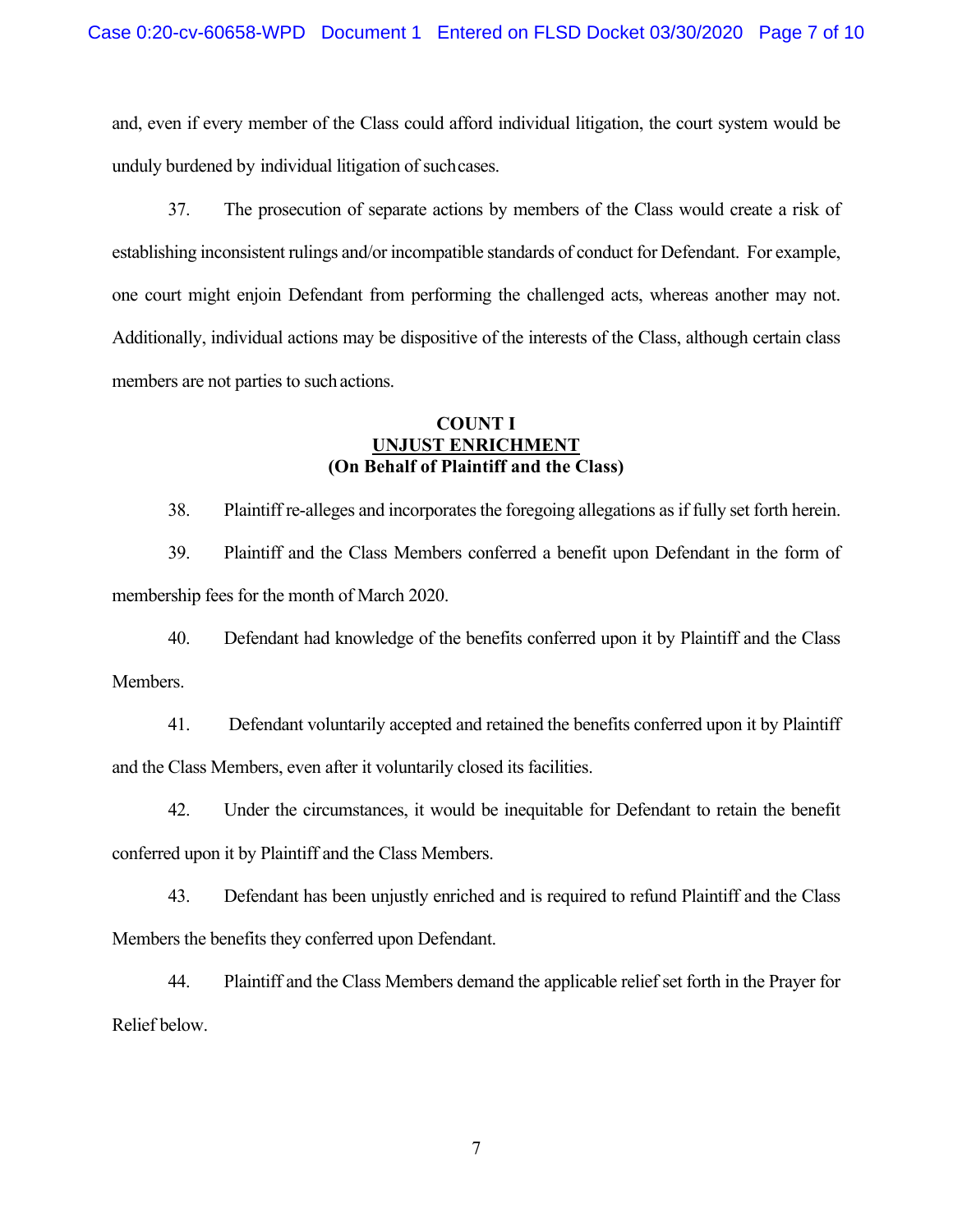and, even if every member of the Class could afford individual litigation, the court system would be unduly burdened by individual litigation of such cases.

37. The prosecution of separate actions by members of the Class would create a risk of establishing inconsistent rulings and/or incompatible standards of conduct for Defendant. For example, one court might enjoin Defendant from performing the challenged acts, whereas another may not. Additionally, individual actions may be dispositive of the interests of the Class, although certain class members are not parties to such actions.

## **COUNT I UNJUST ENRICHMENT (On Behalf of Plaintiff and the Class)**

38. Plaintiff re-alleges and incorporates the foregoing allegations as if fully set forth herein.

39. Plaintiff and the Class Members conferred a benefit upon Defendant in the form of membership fees for the month of March 2020.

40. Defendant had knowledge of the benefits conferred upon it by Plaintiff and the Class Members.

41. Defendant voluntarily accepted and retained the benefits conferred upon it by Plaintiff and the Class Members, even after it voluntarily closed its facilities.

42. Under the circumstances, it would be inequitable for Defendant to retain the benefit conferred upon it by Plaintiff and the Class Members.

43. Defendant has been unjustly enriched and is required to refund Plaintiff and the Class Members the benefits they conferred upon Defendant.

44. Plaintiff and the Class Members demand the applicable relief set forth in the Prayer for Relief below.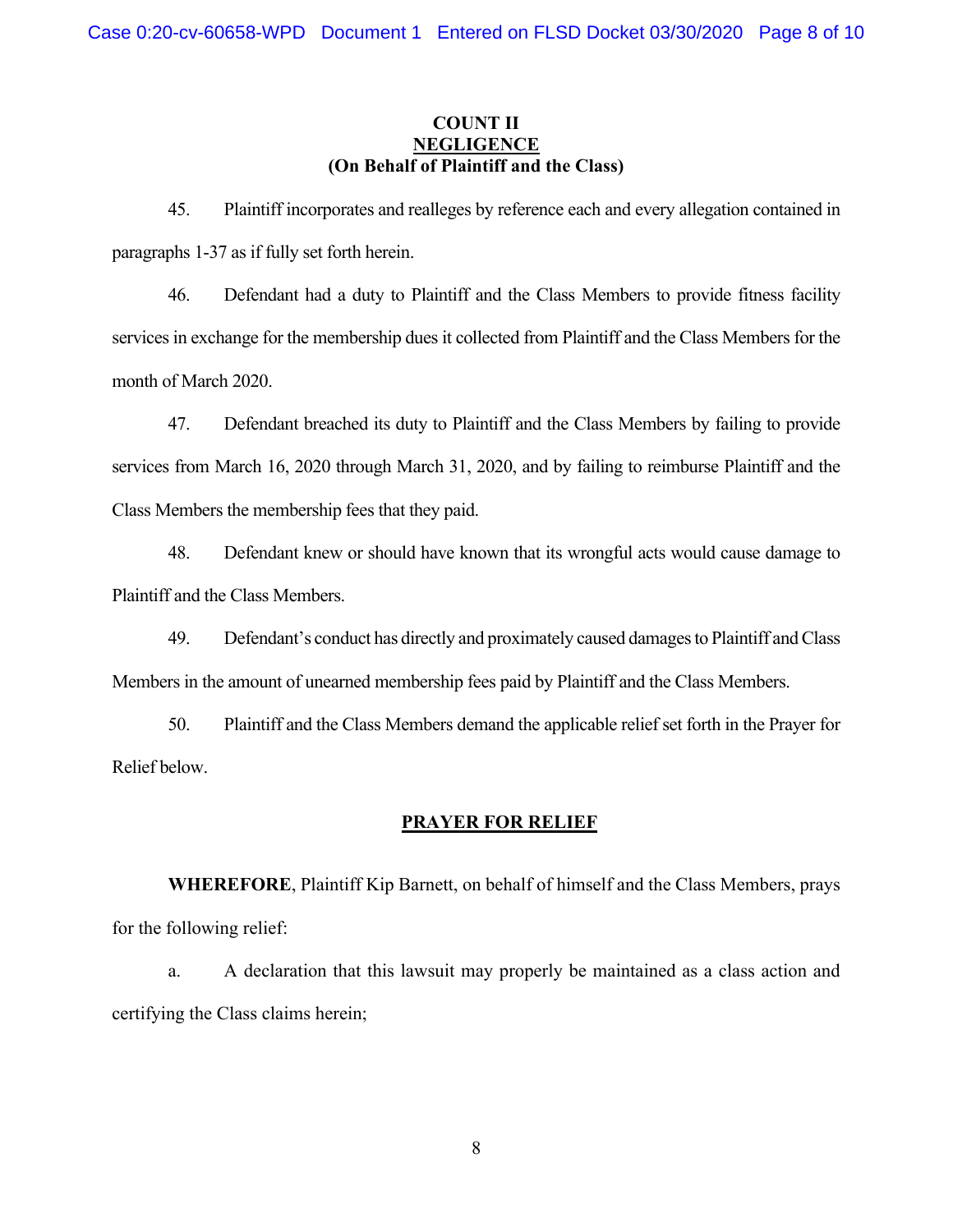# **COUNT II NEGLIGENCE (On Behalf of Plaintiff and the Class)**

45. Plaintiff incorporates and realleges by reference each and every allegation contained in paragraphs 1-37 as if fully set forth herein.

46. Defendant had a duty to Plaintiff and the Class Members to provide fitness facility services in exchange for the membership dues it collected from Plaintiff and the Class Members for the month of March 2020.

47. Defendant breached its duty to Plaintiff and the Class Members by failing to provide services from March 16, 2020 through March 31, 2020, and by failing to reimburse Plaintiff and the Class Members the membership fees that they paid.

48. Defendant knew or should have known that its wrongful acts would cause damage to Plaintiff and the Class Members.

49. Defendant's conduct has directly and proximately caused damages to Plaintiff and Class Members in the amount of unearned membership fees paid by Plaintiff and the Class Members.

50. Plaintiff and the Class Members demand the applicable relief set forth in the Prayer for Relief below.

# **PRAYER FOR RELIEF**

**WHEREFORE**, Plaintiff Kip Barnett, on behalf of himself and the Class Members, prays for the following relief:

a. A declaration that this lawsuit may properly be maintained as a class action and certifying the Class claims herein;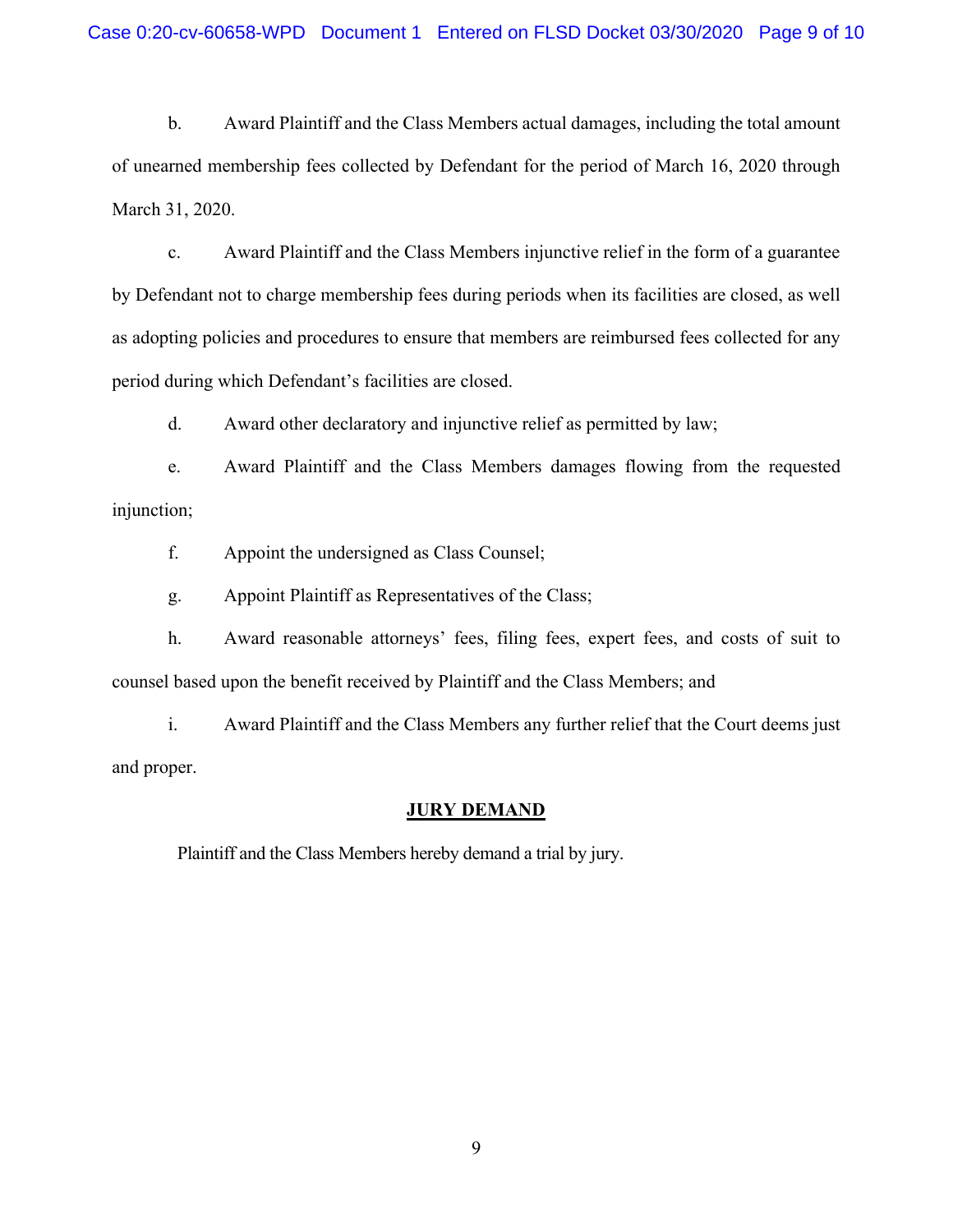b. Award Plaintiff and the Class Members actual damages, including the total amount of unearned membership fees collected by Defendant for the period of March 16, 2020 through March 31, 2020.

c. Award Plaintiff and the Class Members injunctive relief in the form of a guarantee by Defendant not to charge membership fees during periods when its facilities are closed, as well as adopting policies and procedures to ensure that members are reimbursed fees collected for any period during which Defendant's facilities are closed.

d. Award other declaratory and injunctive relief as permitted by law;

e. Award Plaintiff and the Class Members damages flowing from the requested injunction;

f. Appoint the undersigned as Class Counsel;

g. Appoint Plaintiff as Representatives of the Class;

h. Award reasonable attorneys' fees, filing fees, expert fees, and costs of suit to counsel based upon the benefit received by Plaintiff and the Class Members; and

i. Award Plaintiff and the Class Members any further relief that the Court deems just and proper.

## **JURY DEMAND**

Plaintiff and the Class Members hereby demand a trial by jury.